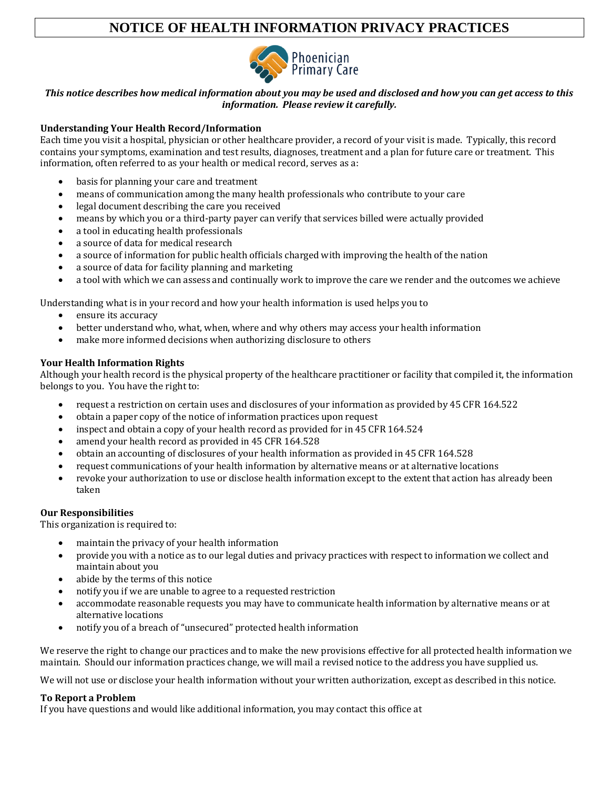# **NOTICE OF HEALTH INFORMATION PRIVACY PRACTICES**



#### *This notice describes how medical information about you may be used and disclosed and how you can get access to this information. Please review it carefully.*

## **Understanding Your Health Record/Information**

Each time you visit a hospital, physician or other healthcare provider, a record of your visit is made. Typically, this record contains your symptoms, examination and test results, diagnoses, treatment and a plan for future care or treatment. This information, often referred to as your health or medical record, serves as a:

- basis for planning your care and treatment
- means of communication among the many health professionals who contribute to your care
- legal document describing the care you received
- means by which you or a third-party payer can verify that services billed were actually provided
- a tool in educating health professionals
- a source of data for medical research
- a source of information for public health officials charged with improving the health of the nation
- a source of data for facility planning and marketing
- a tool with which we can assess and continually work to improve the care we render and the outcomes we achieve

Understanding what is in your record and how your health information is used helps you to

- ensure its accuracy
- better understand who, what, when, where and why others may access your health information
- make more informed decisions when authorizing disclosure to others

## **Your Health Information Rights**

Although your health record is the physical property of the healthcare practitioner or facility that compiled it, the information belongs to you. You have the right to:

- request a restriction on certain uses and disclosures of your information as provided by 45 CFR 164.522
- obtain a paper copy of the notice of information practices upon request
- inspect and obtain a copy of your health record as provided for in 45 CFR 164.524
- amend your health record as provided in 45 CFR 164.528
- obtain an accounting of disclosures of your health information as provided in 45 CFR 164.528
- request communications of your health information by alternative means or at alternative locations
- revoke your authorization to use or disclose health information except to the extent that action has already been taken

#### **Our Responsibilities**

This organization is required to:

- maintain the privacy of your health information
- provide you with a notice as to our legal duties and privacy practices with respect to information we collect and maintain about you
- abide by the terms of this notice
- notify you if we are unable to agree to a requested restriction
- accommodate reasonable requests you may have to communicate health information by alternative means or at alternative locations
- notify you of a breach of "unsecured" protected health information

We reserve the right to change our practices and to make the new provisions effective for all protected health information we maintain. Should our information practices change, we will mail a revised notice to the address you have supplied us.

We will not use or disclose your health information without your written authorization, except as described in this notice.

#### **To Report a Problem**

If you have questions and would like additional information, you may contact this office at